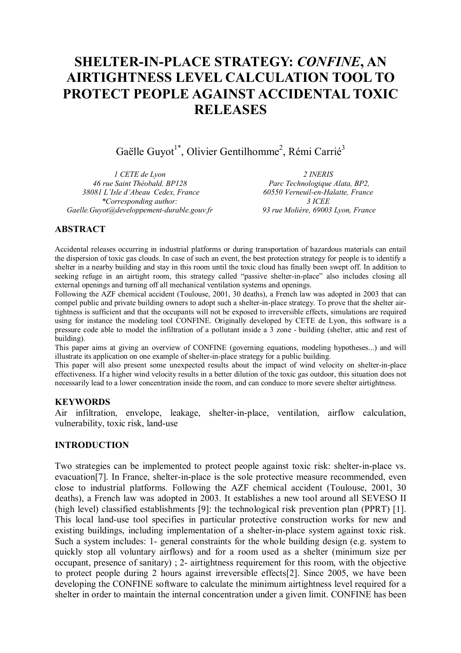# **SHELTER-IN-PLACE STRATEGY:** *CONFINE***, AN AIRTIGHTNESS LEVEL CALCULATION TOOL TO PROTECT PEOPLE AGAINST ACCIDENTAL TOXIC RELEASES**

Gaëlle Guyot<sup>1\*</sup>, Olivier Gentilhomme<sup>2</sup>, Rémi Carrié<sup>3</sup>

*1 CETE de Lyon 46 rue Saint Théobald. BP128 38081 L'Isle d'Abeau Cedex, France \*Corresponding author: Gaelle.Guyot@developpement-durable.gouv.fr*

*2 INERIS Parc Technologique Alata, BP2, 60550 Verneuil-en-Halatte, France 3 ICEE 93 rue Molière, 69003 Lyon, France*

# **ABSTRACT**

Accidental releases occurring in industrial platforms or during transportation of hazardous materials can entail the dispersion of toxic gas clouds. In case of such an event, the best protection strategy for people is to identify a shelter in a nearby building and stay in this room until the toxic cloud has finally been swept off. In addition to seeking refuge in an airtight room, this strategy called "passive shelter-in-place" also includes closing all external openings and turning off all mechanical ventilation systems and openings.

Following the AZF chemical accident (Toulouse, 2001, 30 deaths), a French law was adopted in 2003 that can compel public and private building owners to adopt such a shelter-in-place strategy. To prove that the shelter airtightness is sufficient and that the occupants will not be exposed to irreversible effects, simulations are required using for instance the modeling tool CONFINE. Originally developed by CETE de Lyon, this software is a pressure code able to model the infiltration of a pollutant inside a 3 zone - building (shelter, attic and rest of building).

This paper aims at giving an overview of CONFINE (governing equations, modeling hypotheses...) and will illustrate its application on one example of shelter-in-place strategy for a public building.

This paper will also present some unexpected results about the impact of wind velocity on shelter-in-place effectiveness. If a higher wind velocity results in a better dilution of the toxic gas outdoor, this situation does not necessarily lead to a lower concentration inside the room, and can conduce to more severe shelter airtightness.

### **KEYWORDS**

Air infiltration, envelope, leakage, shelter-in-place, ventilation, airflow calculation, vulnerability, toxic risk, land-use

# **INTRODUCTION**

Two strategies can be implemented to protect people against toxic risk: shelter-in-place vs. evacuation [7]. In France, shelter-in-place is the sole protective measure recommended, even close to industrial platforms. Following the AZF chemical accident (Toulouse, 2001, 30 deaths), a French law was adopted in 2003. It establishes a new tool around all SEVESO II (high level) classified establishments [9]: the technological risk prevention plan (PPRT) [1]. This local land-use tool specifies in particular protective construction works for new and existing buildings, including implementation of a shelter-in-place system against toxic risk. Such a system includes: 1- general constraints for the whole building design (e.g. system to quickly stop all voluntary airflows) and for a room used as a shelter (minimum size per occupant, presence of sanitary) ; 2- airtightness requirement for this room, with the objective to protect people during 2 hours against irreversible effects [2]. Since 2005, we have been developing the CONFINE software to calculate the minimum airtightness level required for a shelter in order to maintain the internal concentration under a given limit. CONFINE has been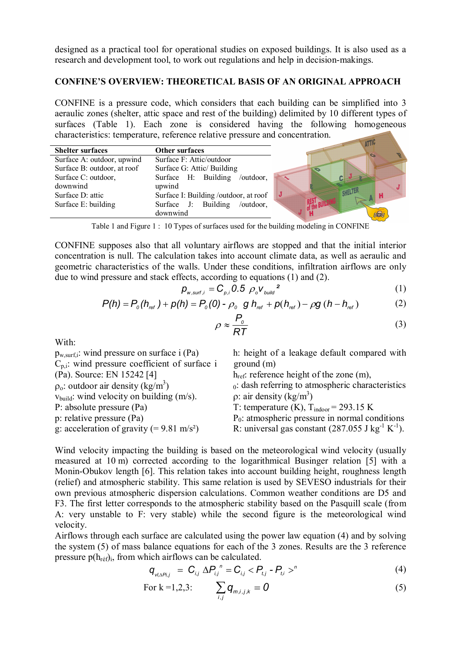designed as a practical tool for operational studies on exposed buildings. It is also used as a research and development tool, to work out regulations and help in decision-makings.

# **CONFINE'S OVERVIEW: THEORETICAL BASIS OF AN ORIGINAL APPROACH**

CONFINE is a pressure code, which considers that each building can be simplified into 3 aeraulic zones (shelter, attic space and rest of the building) delimited by 10 different types of surfaces (Table 1). Each zone is considered having the following homogeneous characteristics: temperature, reference relative pressure and concentration.  $\overline{\phantom{a}}$ 

| <b>Shelter surfaces</b>     | <b>Other surfaces</b>                | <b>ALLIV</b> |
|-----------------------------|--------------------------------------|--------------|
| Surface A: outdoor, upwind  | Surface F: Attic/outdoor             |              |
| Surface B: outdoor, at roof | Surface G: Attic/ Building           |              |
| Surface C: outdoor,         | Surface H: Building<br>/outdoor,     |              |
| downwind                    | upwind                               |              |
| Surface D: attic            | Surface I: Building/outdoor, at roof |              |
| Surface E: building         | Surface J: Building /outdoor,        |              |
|                             | downwind                             |              |

Table 1 and Figure 1 : 10 Types of surfaces used for the building modeling in CONFINE

CONFINE supposes also that all voluntary airflows are stopped and that the initial interior concentration is null. The calculation takes into account climate data, as well as aeraulic and geometric characteristics of the walls. Under these conditions, infiltration airflows are only due to wind pressure and stack effects, according to equations (1) and (2).

$$
p_{w, \text{surf}, i} = C_{p, i} 0.5 \rho_o V_{\text{build}}^2 \tag{1}
$$

$$
P(h) = P_o(h_{ref}) + p(h) = P_o(0) - \rho_o g h_{ref} + p(h_{ref}) - \rho g (h - h_{ref})
$$
 (2)

$$
\rho \approx \frac{P_o}{RT} \tag{3}
$$

With:

| $p_{w,\text{surf},i}$ : wind pressure on surface i (Pa) | h: height of a leakage default compared with                             |
|---------------------------------------------------------|--------------------------------------------------------------------------|
| $C_{p,i}$ : wind pressure coefficient of surface i      | ground(m)                                                                |
| (Pa). Source: EN 15242 [4]                              | $h_{ref}$ : reference height of the zone (m),                            |
| $\rho_0$ : outdoor air density (kg/m <sup>3</sup> )     | $0$ : dash referring to atmospheric characteristics                      |
| $v_{build}:$ wind velocity on building $(m/s)$ .        | $\rho$ : air density (kg/m <sup>3</sup> )                                |
| P: absolute pressure (Pa)                               | T: temperature (K), $T_{\text{indoor}}$ = 293.15 K                       |
| p: relative pressure (Pa)                               | $P_0$ : atmospheric pressure in normal conditions                        |
| g: acceleration of gravity (= $9.81 \text{ m/s}^2$ )    | R: universal gas constant $(287.055 \text{ J kg}^{-1} \text{ K}^{-1})$ . |
|                                                         |                                                                          |

Wind velocity impacting the building is based on the meteorological wind velocity (usually measured at 10 m) corrected according to the logarithmical Businger relation [5] with a Monin-Obukov length [6]. This relation takes into account building height, roughness length (relief) and atmospheric stability. This same relation is used by SEVESO industrials for their own previous atmospheric dispersion calculations. Common weather conditions are D5 and F3. The first letter corresponds to the atmospheric stability based on the Pasquill scale (from A: very unstable to F: very stable) while the second figure is the meteorological wind velocity.

Airflows through each surface are calculated using the power law equation (4) and by solving the system (5) of mass balance equations for each of the 3 zones. Results are the 3 reference pressure  $p(h_{ref})$ ; from which airflows can be calculated.

$$
q_{v_{i,\Delta P i,j}} = C_{i,j} \Delta P_{i,j}^{\ \ n} = C_{i,j} < P_{t,j} - P_{t,i} >^n \tag{4}
$$

For k =1,2,3: 
$$
\sum_{i,j} \mathbf{q}_{m,i,j,k} = \mathbf{0}
$$
 (5)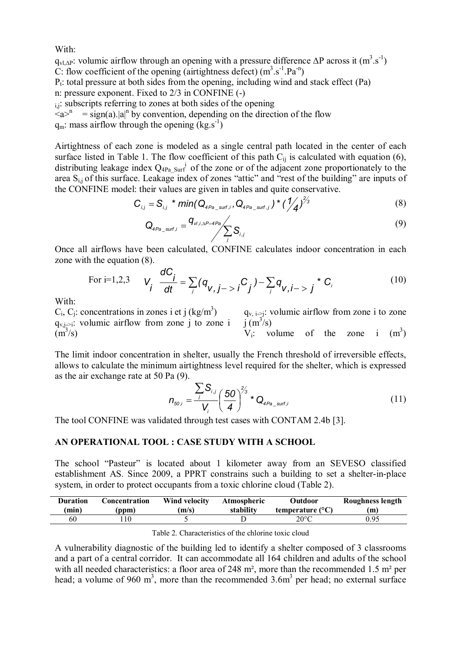With:

 $q_{vl,\Delta}$ P: volumic airflow through an opening with a pressure difference  $\Delta P$  across it  $(m^3.s^{-1})$ C: flow coefficient of the opening (airtightness defect)  $(m^3.s^{-1}.Pa^{-n})$ 

 $P_t$ : total pressure at both sides from the opening, including wind and stack effect (Pa) n: pressure exponent. Fixed to 2/3 in CONFINE (-)

i, subscripts referring to zones at both sides of the opening

 $\zeta a$ <sup>n</sup> = sign(a).|a|<sup>n</sup> by convention, depending on the direction of the flow

 $q_m$ : mass airflow through the opening  $(kg.s^{-1})$ 

Airtightness of each zone is modeled as a single central path located in the center of each surface listed in Table 1. The flow coefficient of this path  $C_{ii}$  is calculated with equation (6), distributing leakage index  $Q_{4Pa\_Surf}$  of the zone or of the adjacent zone proportionately to the area Si,j of this surface. Leakage index of zones "attic" and "rest of the building" are inputs of the CONFINE model: their values are given in tables and quite conservative.

$$
C_{i,j} = S_{i,j} * min(Q_{4Pa\_surf,i}, Q_{4Pa\_surf,j}) * (\frac{1}{4})^{\frac{2}{3}}
$$
(8)

$$
Q_{4Pa\_surf,i} = \frac{q_{v1,i,\Delta P=4Pa}}{\sum_{j} S_{i,j}}
$$
(9)

Once all airflows have been calculated, CONFINE calculates indoor concentration in each zone with the equation (8).

For i=1,2,3 
$$
V_i \frac{dC_i}{dt} = \sum_j (q_{V,j->i} C_j) - \sum_j q_{V,i->j} * C_i
$$
 (10)

With:

 $C_i$ ,  $C_j$ : concentrations in zones i et j (kg/m<sup>3</sup>)  $q_{v,i\rightarrow i}$ : volumic airflow from zone j to zone i  $\left(\frac{m^3}{s}\right)$  $j(m^3/s)$ 

 $q_{v, i\rightarrow j}$ : volumic airflow from zone i to zone

 $V_i$ : volume of the zone i  $(m^3)$ 

The limit indoor concentration in shelter, usually the French threshold of irreversible effects, allows to calculate the minimum airtightness level required for the shelter, which is expressed as the air exchange rate at 50 Pa (9).

$$
n_{\text{50},i} = \frac{\sum_{j} S_{i,j}}{V_i} \left(\frac{50}{4}\right)^{2/3} * Q_{\text{4Pa\_surf},i}
$$
 (11)

The tool CONFINE was validated through test cases with CONTAM 2.4b [3].

### **AN OPERATIONAL TOOL : CASE STUDY WITH A SCHOOL**

The school "Pasteur" is located about 1 kilometer away from an SEVESO classified establishment AS. Since 2009, a PPRT constrains such a building to set a shelter-in-place system, in order to protect occupants from a toxic chlorine cloud (Table 2).

| Duration | Concentration | Wind velocity | Atmospheric | Outdoor                   | Roughness length |
|----------|---------------|---------------|-------------|---------------------------|------------------|
| 'min)    | (ppm)         | (m/s)         | stability   | temperature $(^{\circ}C)$ | (m)              |
| 60       |               |               |             | $20^{\circ}\mathrm{C}$    | 0.95             |

Table 2. Characteristics of the chlorine toxic cloud

A vulnerability diagnostic of the building led to identify a shelter composed of 3 classrooms and a part of a central corridor. It can accommodate all 164 children and adults of the school with all needed characteristics: a floor area of 248 m<sup>2</sup>, more than the recommended 1.5 m<sup>2</sup> per head; a volume of 960 m<sup>3</sup>, more than the recommended  $3.6m<sup>3</sup>$  per head; no external surface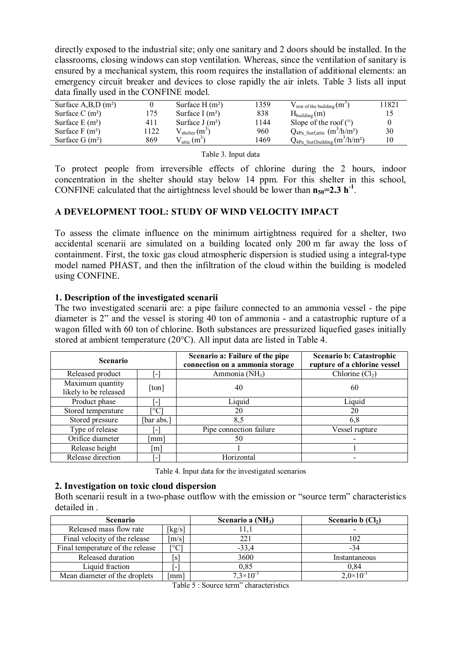directly exposed to the industrial site; only one sanitary and 2 doors should be installed. In the classrooms, closing windows can stop ventilation. Whereas, since the ventilation of sanitary is ensured by a mechanical system, this room requires the installation of additional elements: an emergency circuit breaker and devices to close rapidly the air inlets. Table 3 lists all input data finally used in the CONFINE model.

|      |                                          |                                                           |                                     | 11821                                                                                         |
|------|------------------------------------------|-----------------------------------------------------------|-------------------------------------|-----------------------------------------------------------------------------------------------|
|      |                                          |                                                           |                                     |                                                                                               |
|      |                                          |                                                           |                                     |                                                                                               |
|      |                                          |                                                           |                                     |                                                                                               |
| 1122 | $\sqrt{\text{shelter}}$ (m <sup>3)</sup> | 960                                                       | $Q_{4Pa}$ Surf,attic $(m^3/h/m^2)$  | 30                                                                                            |
| 869  | $\ell_{\text{attic}}$ (m <sup>3</sup> )  | 1469                                                      | $Q_{4Pa\_Surf,building}(m^3/h/m^2)$ |                                                                                               |
|      | 175<br>411                               | Surface $H(m^2)$<br>Surface I $(m^2)$<br>Surface $J(m^2)$ | 1359<br>838<br>1144                 | $V_{rest of the building}$ (m <sup>-2</sup> )<br>$H_{building}(m)$<br>Slope of the roof $(°)$ |

Table 3. Input data

To protect people from irreversible effects of chlorine during the 2 hours, indoor concentration in the shelter should stay below 14 ppm. For this shelter in this school, CONFINE calculated that the airtightness level should be lower than  $n_{50} = 2.3 h^{-1}$ .

# **A DEVELOPMENT TOOL: STUDY OF WIND VELOCITY IMPACT**

To assess the climate influence on the minimum airtightness required for a shelter, two accidental scenarii are simulated on a building located only 200 m far away the loss of containment. First, the toxic gas cloud atmospheric dispersion is studied using a integral-type model named PHAST, and then the infiltration of the cloud within the building is modeled using CONFINE.

## **1. Description of the investigated scenarii**

The two investigated scenarii are: a pipe failure connected to an ammonia vessel - the pipe diameter is 2" and the vessel is storing 40 ton of ammonia - and a catastrophic rupture of a wagon filled with 60 ton of chlorine. Both substances are pressurized liquefied gases initially stored at ambient temperature (20°C). All input data are listed in Table 4.

| <b>Scenario</b>                           |                          | Scenario a: Failure of the pipe<br>connection on a ammonia storage | <b>Scenario b: Catastrophic</b><br>rupture of a chlorine vessel |  |
|-------------------------------------------|--------------------------|--------------------------------------------------------------------|-----------------------------------------------------------------|--|
| Released product                          | [-]                      | Ammonia (NH <sub>3</sub> )                                         | Chlorine $(Cl2)$                                                |  |
| Maximum quantity<br>likely to be released | [ton]                    | 40                                                                 | 60                                                              |  |
| Product phase                             | $\vert$ – $\vert$        | Liquid                                                             | Liquid                                                          |  |
| Stored temperature                        | $\rm ^{\circ}C$          | 20                                                                 | 20                                                              |  |
| Stored pressure                           | [bar abs.]               | 8.5                                                                | 6,8                                                             |  |
| Type of release                           | $\blacksquare$           | Pipe connection failure                                            | Vessel rupture                                                  |  |
| Orifice diameter                          | $\lceil$ mm]             | 50                                                                 |                                                                 |  |
| Release height                            | m                        |                                                                    |                                                                 |  |
| Release direction                         | $\overline{\phantom{a}}$ | Horizontal                                                         |                                                                 |  |

Table 4. Input data for the investigated scenarios

### **2. Investigation on toxic cloud dispersion**

Both scenarii result in a two-phase outflow with the emission or "source term" characteristics detailed in .

| <b>Scenario</b>                  |                     | Scenario a $(NH_3)$  | Scenario b $(Cl2)$   |
|----------------------------------|---------------------|----------------------|----------------------|
| Released mass flow rate          | $kg/s$ ]            |                      |                      |
| Final velocity of the release    | $\lceil m/s \rceil$ | 221                  | 102                  |
| Final temperature of the release | [°C                 | $-33,4$              | -34                  |
| Released duration                | .sl                 | 3600                 | Instantaneous        |
| Liquid fraction                  |                     | 0.85                 | 0.84                 |
| Mean diameter of the droplets    | mm                  | $7.3 \times 10^{-5}$ | $2.0 \times 10^{-1}$ |

Table 5 : Source term" characteristics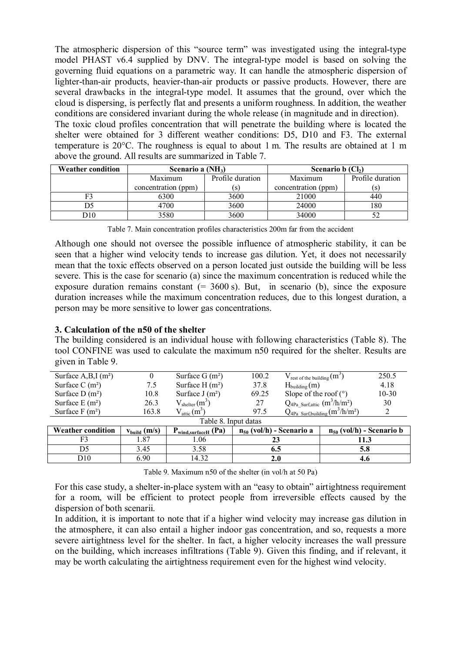The atmospheric dispersion of this "source term" was investigated using the integral-type model PHAST v6.4 supplied by DNV. The integral-type model is based on solving the governing fluid equations on a parametric way. It can handle the atmospheric dispersion of lighter-than-air products, heavier-than-air products or passive products. However, there are several drawbacks in the integral-type model. It assumes that the ground, over which the cloud is dispersing, is perfectly flat and presents a uniform roughness. In addition, the weather conditions are considered invariant during the whole release (in magnitude and in direction). The toxic cloud profiles concentration that will penetrate the building where is located the

shelter were obtained for 3 different weather conditions: D5, D10 and F3. The external temperature is 20°C. The roughness is equal to about 1 m. The results are obtained at 1 m above the ground. All results are summarized in Table 7.

| <b>Weather condition</b> | Scenario a $(NH_3)$ |                  | Scenario $b$ (Cl <sub>2</sub> ) |                  |  |
|--------------------------|---------------------|------------------|---------------------------------|------------------|--|
|                          | Maximum             | Profile duration | Maximum                         | Profile duration |  |
|                          | concentration (ppm) | (S)              | concentration (ppm)             | (S)              |  |
|                          | 6300                | 3600             | 21000                           | 440              |  |
|                          | 4700                | 3600             | 24000                           | 180              |  |
| <b>)10</b>               | 3580                | 3600             | 34000                           |                  |  |

Table 7. Main concentration profiles characteristics 200m far from the accident

Although one should not oversee the possible influence of atmospheric stability, it can be seen that a higher wind velocity tends to increase gas dilution. Yet, it does not necessarily mean that the toxic effects observed on a person located just outside the building will be less severe. This is the case for scenario (a) since the maximum concentration is reduced while the exposure duration remains constant  $(= 3600 \text{ s})$ . But, in scenario (b), since the exposure duration increases while the maximum concentration reduces, due to this longest duration, a person may be more sensitive to lower gas concentrations.

## **3. Calculation of the n50 of the shelter**

The building considered is an individual house with following characteristics (Table 8). The tool CONFINE was used to calculate the maximum n50 required for the shelter. Results are given in Table 9.

| Surface $A, B, I$ (m <sup>2</sup> ) |                   | Surface $G(m^2)$          | 100.2                                          | $V_{rest of the building}(m^2)$ |                               | 250.5   |  |
|-------------------------------------|-------------------|---------------------------|------------------------------------------------|---------------------------------|-------------------------------|---------|--|
| Surface C $(m^2)$                   | 7.5               | Surface $H(m^2)$          | 37.8<br>$H_{\text{building}}(m)$               |                                 |                               | 4.18    |  |
| Surface $D(m^2)$                    | 10.8              | Surface $J(m^2)$          | Slope of the roof $(°)$<br>69.25               |                                 |                               | $10-30$ |  |
| Surface $E(m^2)$                    | 26.3              | $V_{\text{shelter}}(m^3)$ | $Q_{4Pa}$ Surf, attic $(m^3/h/m^2)$<br>27      |                                 |                               | 30      |  |
| Surface $F(m^2)$                    | 163.8             | $V_{\text{attic}}(m^3)$   | $Q_{4Pa}$ Surf, building $(m^3/h/m^2)$<br>97.5 |                                 |                               | 2       |  |
| Table 8. Input datas                |                   |                           |                                                |                                 |                               |         |  |
| <b>Weather condition</b>            | $v_{build}$ (m/s) | $P_{wind,surfaceH}$ (Pa)  | $n_{50}$ (vol/h) - Scenario a                  |                                 | $n_{50}$ (vol/h) - Scenario b |         |  |
| F3                                  | 1.87              | 1.06                      | 23                                             |                                 | 11.3                          |         |  |
| D5                                  | 3.45              | 3.58                      | 6.5                                            |                                 | 5.8                           |         |  |
| D10                                 | 6.90              | 14.32                     | 2.0                                            |                                 | 4.6                           |         |  |

Table 9. Maximum n50 of the shelter (in vol/h at 50 Pa)

For this case study, a shelter-in-place system with an "easy to obtain" airtightness requirement for a room, will be efficient to protect people from irreversible effects caused by the dispersion of both scenarii.

In addition, it is important to note that if a higher wind velocity may increase gas dilution in the atmosphere, it can also entail a higher indoor gas concentration, and so, requests a more severe airtightness level for the shelter. In fact, a higher velocity increases the wall pressure on the building, which increases infiltrations (Table 9). Given this finding, and if relevant, it may be worth calculating the airtightness requirement even for the highest wind velocity.